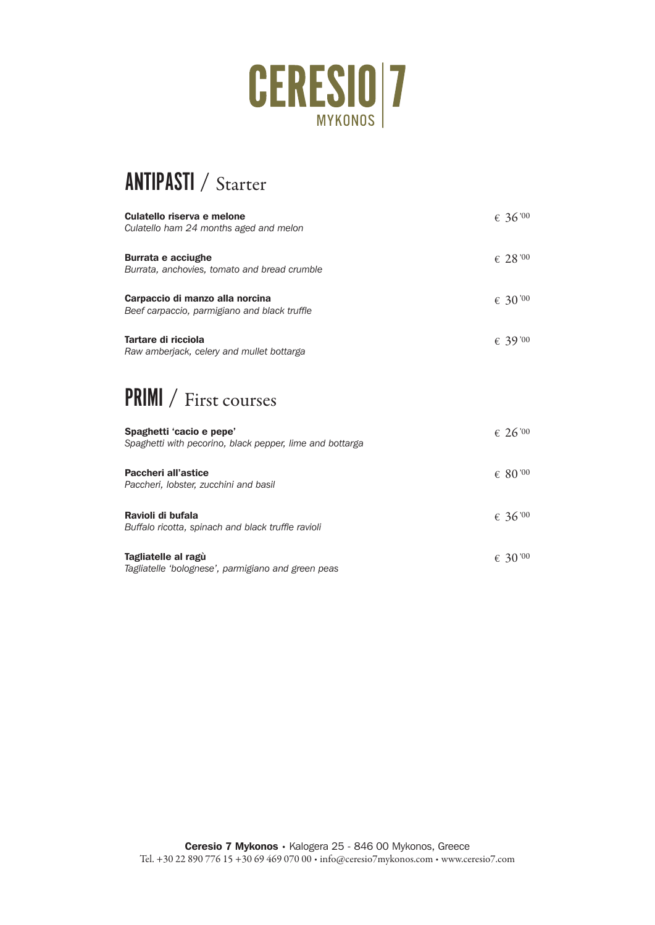

## ANTIPASTI / Starter

| Culatello riserva e melone<br>Culatello ham 24 months aged and melon            | $\epsilon$ 36'00    |
|---------------------------------------------------------------------------------|---------------------|
| <b>Burrata e acciughe</b><br>Burrata, anchovies, tomato and bread crumble       | $\epsilon$ 28 '00   |
| Carpaccio di manzo alla norcina<br>Beef carpaccio, parmigiano and black truffle | € 30 <sup>'00</sup> |
| Tartare di ricciola<br>Raw amberjack, celery and mullet bottarga                | € 39'00             |
|                                                                                 |                     |

### PRIMI / First courses

| Spaghetti 'cacio e pepe'<br>Spaghetti with pecorino, black pepper, lime and bottarga | $\epsilon$ 26 <sup>'00</sup> |
|--------------------------------------------------------------------------------------|------------------------------|
| Paccheri all'astice<br>Paccheri, lobster, zucchini and basil                         | $\epsilon$ 80 '00            |
| Ravioli di bufala<br>Buffalo ricotta, spinach and black truffle ravioli              | $\epsilon$ 36'00             |
| Tagliatelle al ragù<br>Tagliatelle 'bolognese', parmigiano and green peas            | $\epsilon$ 30 '00            |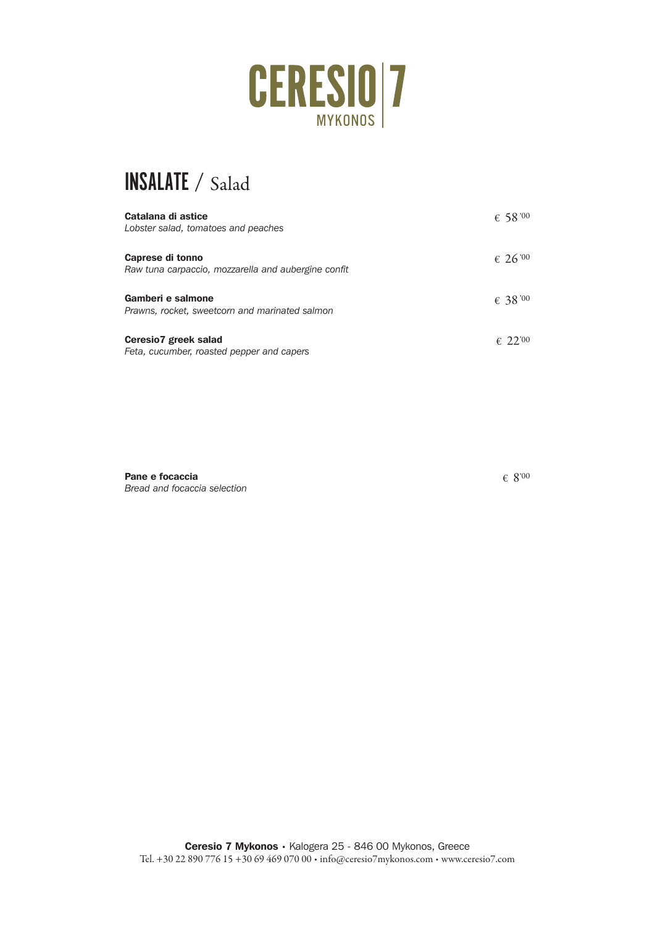

# INSALATE / Salad

| Catalana di astice<br>Lobster salad, tomatoes and peaches               | $\epsilon$ 58 '00 |
|-------------------------------------------------------------------------|-------------------|
| Caprese di tonno<br>Raw tuna carpaccio, mozzarella and aubergine confit | $\epsilon$ 26'00  |
| Gamberi e salmone<br>Prawns, rocket, sweetcorn and marinated salmon     | € 38 '00          |
| Ceresio7 greek salad<br>Feta, cucumber, roasted pepper and capers       | $\epsilon$ 22.00  |

Pane e focaccia *Bread and focaccia selection*  $\epsilon$  8'00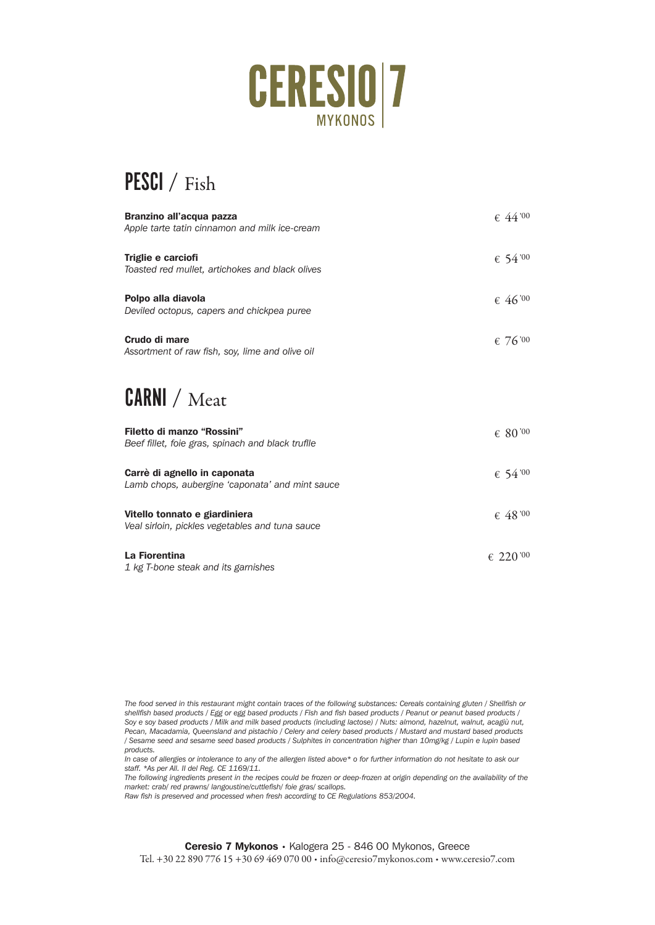

### PESCI / Fish

| Branzino all'acqua pazza<br>Apple tarte tatin cinnamon and milk ice-cream       | $\epsilon$ 44'00  |
|---------------------------------------------------------------------------------|-------------------|
| Triglie e carciofi<br>Toasted red mullet, artichokes and black olives           | $\epsilon$ 54 '00 |
| Polpo alla diavola<br>Deviled octopus, capers and chickpea puree                | $\epsilon$ 46'00  |
| Crudo di mare<br>Assortment of raw fish, soy, lime and olive oil                | € 76'00           |
| CARNI / Meat                                                                    |                   |
| Filetto di manzo "Rossini"<br>Beef fillet, foie gras, spinach and black truflle | $\epsilon$ 80 '00 |
| Carrè di agnello in caponata<br>Lamb chops, aubergine 'caponata' and mint sauce | \$54'00           |

| Vitello tonnato e giardiniera<br>Veal sirloin, pickles vegetables and tuna sauce | $\epsilon$ 48 '00  |
|----------------------------------------------------------------------------------|--------------------|
| La Fiorentina                                                                    | $\epsilon$ 220 '00 |

*1 kg T-bone steak and its garnishes*

*The food served in this restaurant might contain traces of the following substances: Cereals containing gluten / Shellfish or*  shellfish based products / Egg or egg based products / Fish and fish based products / Peanut or peanut based products / *Soy e soy based products / Milk and milk based products (including lactose) / Nuts: almond, hazelnut, walnut, acagiù nut, Pecan, Macadamia, Queensland and pistachio / Celery and celery based products / Mustard and mustard based products / Sesame seed and sesame seed based products / Sulphites in concentration higher than 10mg/kg / Lupin e lupin based products.* 

*In case of allergies or intolerance to any of the allergen listed above\* o for further information do not hesitate to ask our staff. \*As per All. II del Reg. CE 1169/11.* 

*The following ingredients present in the recipes could be frozen or deep-frozen at origin depending on the availability of the market: crab/ red prawns/ langoustine/cuttlefish/ foie gras/ scallops.* 

*Raw fish is preserved and processed when fresh according to CE Regulations 853/2004.*